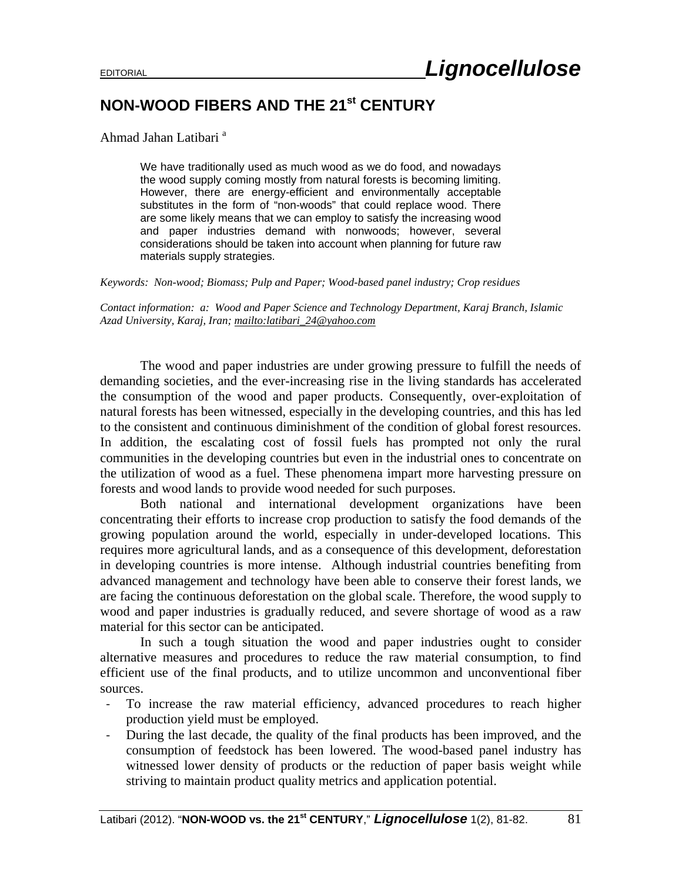## **NON-WOOD FIBERS AND THE 21st CENTURY**

Ahmad Jahan Latibari<sup>a</sup>

We have traditionally used as much wood as we do food, and nowadays the wood supply coming mostly from natural forests is becoming limiting. However, there are energy-efficient and environmentally acceptable substitutes in the form of "non-woods" that could replace wood. There are some likely means that we can employ to satisfy the increasing wood and paper industries demand with nonwoods; however, several considerations should be taken into account when planning for future raw materials supply strategies.

*Keywords: Non-wood; Biomass; Pulp and Paper; Wood-based panel industry; Crop residues* 

*Contact information: a: Wood and Paper Science and Technology Department, Karaj Branch, Islamic Azad University, Karaj, Iran; mailto:latibari\_24@yahoo.com* 

 The wood and paper industries are under growing pressure to fulfill the needs of demanding societies, and the ever-increasing rise in the living standards has accelerated the consumption of the wood and paper products. Consequently, over-exploitation of natural forests has been witnessed, especially in the developing countries, and this has led to the consistent and continuous diminishment of the condition of global forest resources. In addition, the escalating cost of fossil fuels has prompted not only the rural communities in the developing countries but even in the industrial ones to concentrate on the utilization of wood as a fuel. These phenomena impart more harvesting pressure on forests and wood lands to provide wood needed for such purposes.

 Both national and international development organizations have been concentrating their efforts to increase crop production to satisfy the food demands of the growing population around the world, especially in under-developed locations. This requires more agricultural lands, and as a consequence of this development, deforestation in developing countries is more intense. Although industrial countries benefiting from advanced management and technology have been able to conserve their forest lands, we are facing the continuous deforestation on the global scale. Therefore, the wood supply to wood and paper industries is gradually reduced, and severe shortage of wood as a raw material for this sector can be anticipated.

 In such a tough situation the wood and paper industries ought to consider alternative measures and procedures to reduce the raw material consumption, to find efficient use of the final products, and to utilize uncommon and unconventional fiber sources.

- ‐ To increase the raw material efficiency, advanced procedures to reach higher production yield must be employed.
- ‐ During the last decade, the quality of the final products has been improved, and the consumption of feedstock has been lowered. The wood-based panel industry has witnessed lower density of products or the reduction of paper basis weight while striving to maintain product quality metrics and application potential.